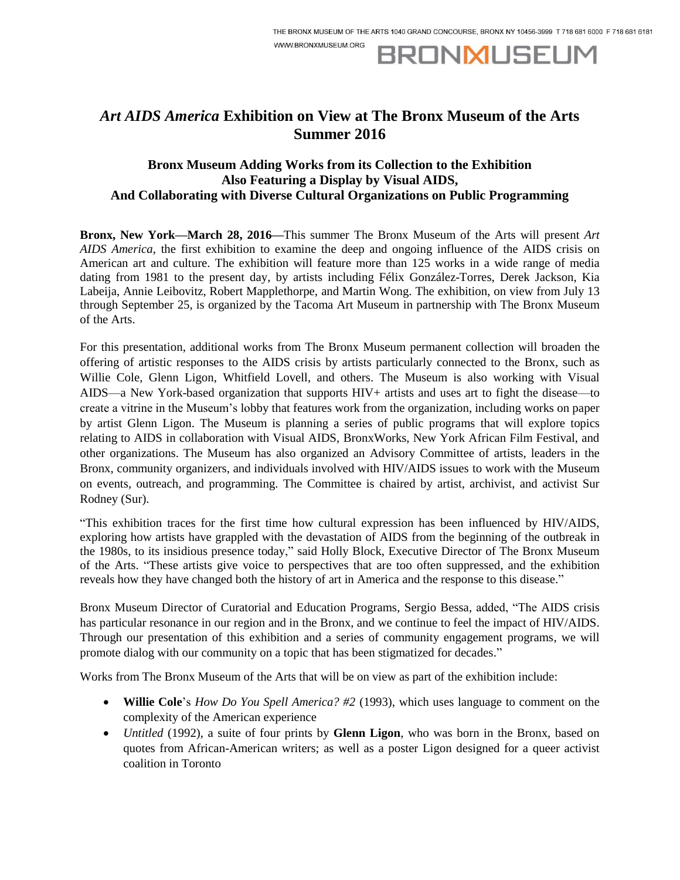**BRONMUSEUM** 

# *Art AIDS America* **Exhibition on View at The Bronx Museum of the Arts Summer 2016**

WWW.BRONXMUSEUM.ORG

# **Bronx Museum Adding Works from its Collection to the Exhibition Also Featuring a Display by Visual AIDS, And Collaborating with Diverse Cultural Organizations on Public Programming**

**Bronx, New York—March 28, 2016—**This summer The Bronx Museum of the Arts will present *Art AIDS America*, the first exhibition to examine the deep and ongoing influence of the AIDS crisis on American art and culture. The exhibition will feature more than 125 works in a wide range of media dating from 1981 to the present day, by artists including Félix González-Torres, Derek Jackson, Kia Labeija, Annie Leibovitz, Robert Mapplethorpe, and Martin Wong. The exhibition, on view from July 13 through September 25, is organized by the Tacoma Art Museum in partnership with The Bronx Museum of the Arts.

For this presentation, additional works from The Bronx Museum permanent collection will broaden the offering of artistic responses to the AIDS crisis by artists particularly connected to the Bronx, such as Willie Cole, Glenn Ligon, Whitfield Lovell, and others. The Museum is also working with Visual AIDS—a New York-based organization that supports HIV+ artists and uses art to fight the disease—to create a vitrine in the Museum's lobby that features work from the organization, including works on paper by artist Glenn Ligon. The Museum is planning a series of public programs that will explore topics relating to AIDS in collaboration with Visual AIDS, BronxWorks, New York African Film Festival, and other organizations. The Museum has also organized an Advisory Committee of artists, leaders in the Bronx, community organizers, and individuals involved with HIV/AIDS issues to work with the Museum on events, outreach, and programming. The Committee is chaired by artist, archivist, and activist Sur Rodney (Sur).

"This exhibition traces for the first time how cultural expression has been influenced by HIV/AIDS, exploring how artists have grappled with the devastation of AIDS from the beginning of the outbreak in the 1980s, to its insidious presence today," said Holly Block, Executive Director of The Bronx Museum of the Arts. "These artists give voice to perspectives that are too often suppressed, and the exhibition reveals how they have changed both the history of art in America and the response to this disease."

Bronx Museum Director of Curatorial and Education Programs, Sergio Bessa, added, "The AIDS crisis has particular resonance in our region and in the Bronx, and we continue to feel the impact of HIV/AIDS. Through our presentation of this exhibition and a series of community engagement programs, we will promote dialog with our community on a topic that has been stigmatized for decades."

Works from The Bronx Museum of the Arts that will be on view as part of the exhibition include:

- **Willie Cole**'s *How Do You Spell America? #2* (1993), which uses language to comment on the complexity of the American experience
- *Untitled* (1992), a suite of four prints by **Glenn Ligon**, who was born in the Bronx, based on quotes from African-American writers; as well as a poster Ligon designed for a queer activist coalition in Toronto